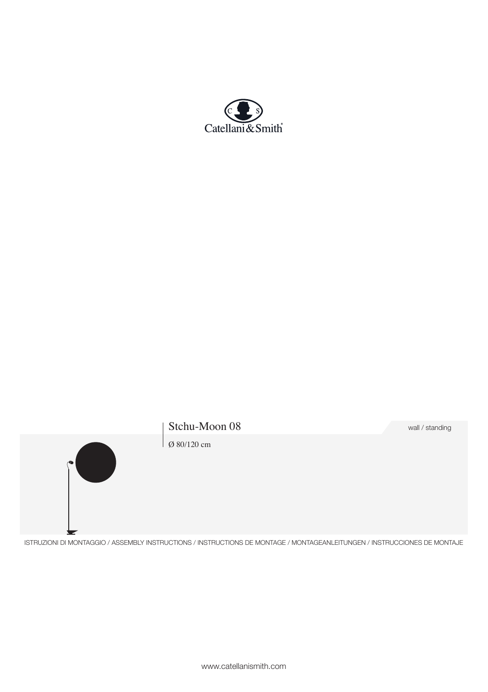

| Stchu-Moon 08

 $\big|$  Ø 80/120 cm

wall / standing



ISTRUZIONI DI MONTAGGIO / ASSEMBLY INSTRUCTIONS / INSTRUCTIONS DE MONTAGE / MONTAGEANLEITUNGEN / INSTRUCCIONES DE MONTAJE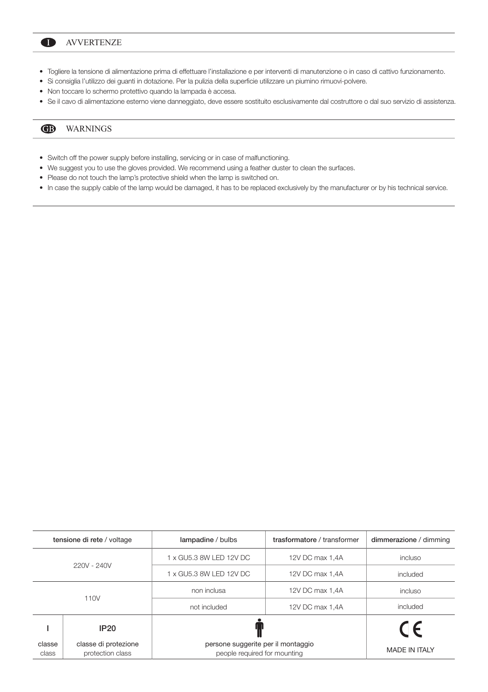## $\bullet$ AVVERTENZE

- Togliere la tensione di alimentazione prima di effettuare l'installazione e per interventi di manutenzione o in caso di cattivo funzionamento.
- Si consiglia l'utilizzo dei guanti in dotazione. Per la pulizia della superficie utilizzare un piumino rimuovi-polvere.
- Non toccare lo schermo protettivo quando la lampada è accesa.
- Se il cavo di alimentazione esterno viene danneggiato, deve essere sostituito esclusivamente dal costruttore o dal suo servizio di assistenza.

## **CB** WARNINGS

- Switch off the power supply before installing, servicing or in case of malfunctioning.
- We suggest you to use the gloves provided. We recommend using a feather duster to clean the surfaces.
- Please do not touch the lamp's protective shield when the lamp is switched on.
- In case the supply cable of the lamp would be damaged, it has to be replaced exclusively by the manufacturer or by his technical service.

| tensione di rete / voltage |                                          | lampadine / bulbs                                                  | trasformatore / transformer | dimmerazione / dimming |
|----------------------------|------------------------------------------|--------------------------------------------------------------------|-----------------------------|------------------------|
| 220V - 240V                |                                          | 1 x GU5.3 8W LED 12V DC                                            | 12V DC max 1.4A             | incluso                |
|                            |                                          | 1 x GU5.3 8W LED 12V DC                                            | 12V DC max 1.4A             | included               |
| 110V                       |                                          | non inclusa                                                        | 12V DC max 1.4A             | incluso                |
|                            |                                          | not included                                                       | 12V DC max 1.4A             | included               |
|                            | IP20                                     |                                                                    |                             | $\epsilon$             |
| classe<br>class            | classe di protezione<br>protection class | persone suggerite per il montaggio<br>people required for mounting |                             | <b>MADE IN ITALY</b>   |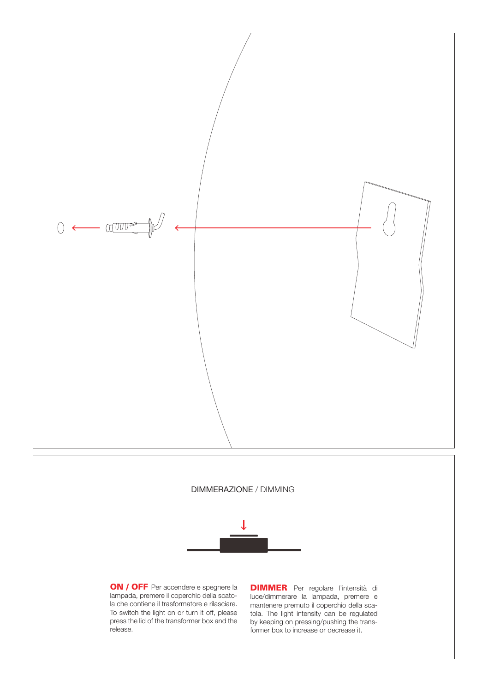